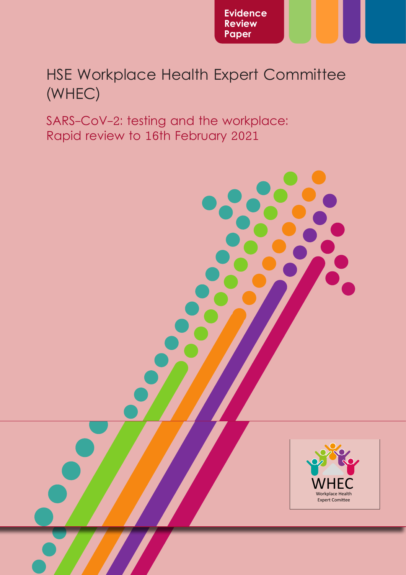# HSE Workplace Health Expert Committee (WHEC)

SARS-CoV-2: testing and the workplace: Rapid review to 16th February 2021

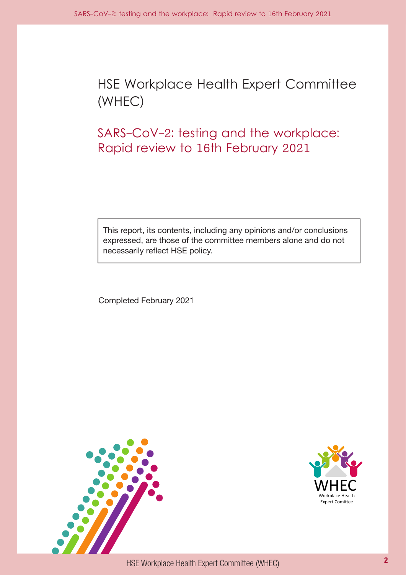HSE Workplace Health Expert Committee (WHEC)

SARS-CoV-2: testing and the workplace: Rapid review to 16th February 2021

This report, its contents, including any opinions and/or conclusions expressed, are those of the committee members alone and do not necessarily reflect HSE policy.

Completed February 2021



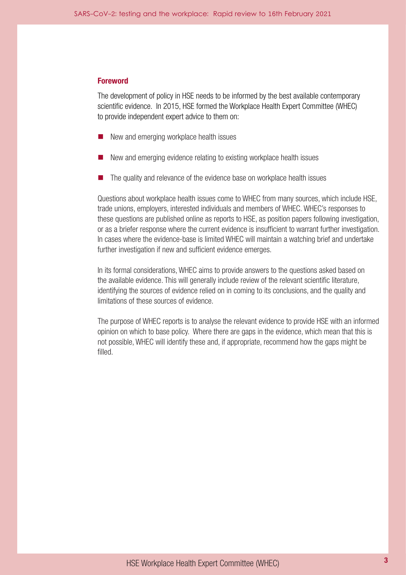#### **Foreword**

The development of policy in HSE needs to be informed by the best available contemporary scientific evidence. In 2015, HSE formed the Workplace Health Expert Committee (WHEC) to provide independent expert advice to them on:

- $\blacksquare$  New and emerging workplace health issues
- $\blacksquare$  New and emerging evidence relating to existing workplace health issues
- $\blacksquare$  The quality and relevance of the evidence base on workplace health issues

Questions about workplace health issues come to WHEC from many sources, which include HSE, trade unions, employers, interested individuals and members of WHEC. WHEC's responses to these questions are published online as reports to HSE, as position papers following investigation, or as a briefer response where the current evidence is insufficient to warrant further investigation. In cases where the evidence-base is limited WHEC will maintain a watching brief and undertake further investigation if new and sufficient evidence emerges.

In its formal considerations, WHEC aims to provide answers to the questions asked based on the available evidence. This will generally include review of the relevant scientific literature, identifying the sources of evidence relied on in coming to its conclusions, and the quality and limitations of these sources of evidence.

 opinion on which to base policy. Where there are gaps in the evidence, which mean that this is The purpose of WHEC reports is to analyse the relevant evidence to provide HSE with an informed not possible, WHEC will identify these and, if appropriate, recommend how the gaps might be filled.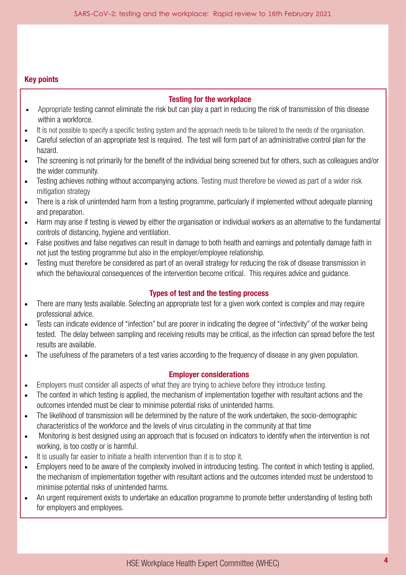## Key points

# Testing for the workplace

- Appropriate testing cannot eliminate the risk but can play a part in reducing the risk of transmission of this disease within a workforce.
- It is not possible to specify a specific testing system and the approach needs to be tailored to the needs of the organisation.
- Careful selection of an appropriate test is required. The test will form part of an administrative control plan for the hazard.
- The screening is not primarily for the benefit of the individual being screened but for others, such as colleagues and/or the wider community.
- Testing achieves nothing without accompanying actions. Testing must therefore be viewed as part of a wider risk mitigation strategy
- There is a risk of unintended harm from a testing programme, particularly if implemented without adequate planning and preparation.
- Harm may arise if testing is viewed by either the organisation or individual workers as an alternative to the fundamental controls of distancing, hygiene and ventilation.
- False positives and false negatives can result in damage to both health and earnings and potentially damage faith in not just the testing programme but also in the employer/employee relationship.
- Testing must therefore be considered as part of an overall strategy for reducing the risk of disease transmission in which the behavioural consequences of the intervention become critical. This requires advice and quidance.

# Types of test and the testing process

- There are many tests available. Selecting an appropriate test for a given work context is complex and may require professional advice.
- Tests can indicate evidence of "infection" but are poorer in indicating the degree of "infectivity" of the worker being tested. The delay between sampling and receiving results may be critical, as the infection can spread before the test results are available.
- The usefulness of the parameters of a test varies according to the frequency of disease in any given population.

# Employer considerations

- Employers must consider all aspects of what they are trying to achieve before they introduce testing.
- The context in which testing is applied, the mechanism of implementation together with resultant actions and the outcomes intended must be clear to minimise potential risks of unintended harms.
- The likelihood of transmission will be determined by the nature of the work undertaken, the socio-demographic characteristics of the workforce and the levels of virus circulating in the community at that time
- Monitoring is best designed using an approach that is focused on indicators to identify when the intervention is not working, is too costly or is harmful.
- It is usually far easier to initiate a health intervention than it is to stop it.
- Employers need to be aware of the complexity involved in introducing testing. The context in which testing is applied, the mechanism of implementation together with resultant actions and the outcomes intended must be understood to minimise potential risks of unintended harms.
- An urgent requirement exists to undertake an education programme to promote better understanding of testing both for employers and employees.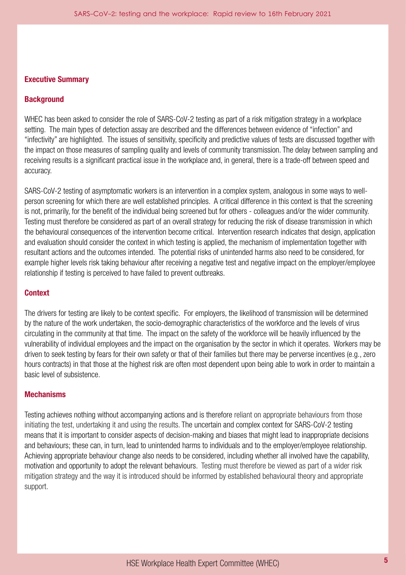#### Executive Summary

#### **Background**

 setting. The main types of detection assay are described and the differences between evidence of "infection" and "infectivity" are highlighted. The issues of sensitivity, specificity and predictive values of tests are discussed together with WHEC has been asked to consider the role of SARS-CoV-2 testing as part of a risk mitigation strategy in a workplace the impact on those measures of sampling quality and levels of community transmission. The delay between sampling and receiving results is a signifcant practical issue in the workplace and, in general, there is a trade-off between speed and accuracy.

 person screening for which there are well established principles. A critical difference in this context is that the screening resultant actions and the outcomes intended. The potential risks of unintended harms also need to be considered, for SARS-CoV-2 testing of asymptomatic workers is an intervention in a complex system, analogous in some ways to wellis not, primarily, for the benefit of the individual being screened but for others - colleagues and/or the wider community. Testing must therefore be considered as part of an overall strategy for reducing the risk of disease transmission in which the behavioural consequences of the intervention become critical. Intervention research indicates that design, application and evaluation should consider the context in which testing is applied, the mechanism of implementation together with example higher levels risk taking behaviour after receiving a negative test and negative impact on the employer/employee relationship if testing is perceived to have failed to prevent outbreaks.

#### **Context**

 circulating in the community at that time. The impact on the safety of the workforce will be heavily infuenced by the vulnerability of individual employees and the impact on the organisation by the sector in which it operates. Workers may be basic level of subsistence. The drivers for testing are likely to be context specifc. For employers, the likelihood of transmission will be determined by the nature of the work undertaken, the socio-demographic characteristics of the workforce and the levels of virus driven to seek testing by fears for their own safety or that of their families but there may be perverse incentives (e.g., zero hours contracts) in that those at the highest risk are often most dependent upon being able to work in order to maintain a

#### **Mechanisms**

Testing achieves nothing without accompanying actions and is therefore reliant on appropriate behaviours from those initiating the test, undertaking it and using the results. The uncertain and complex context for SARS-CoV-2 testing means that it is important to consider aspects of decision-making and biases that might lead to inappropriate decisions and behaviours; these can, in turn, lead to unintended harms to individuals and to the employer/employee relationship. Achieving appropriate behaviour change also needs to be considered, including whether all involved have the capability, motivation and opportunity to adopt the relevant behaviours. Testing must therefore be viewed as part of a wider risk mitigation strategy and the way it is introduced should be informed by established behavioural theory and appropriate support.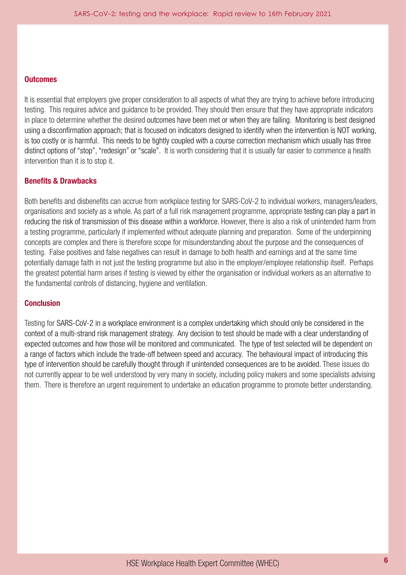#### **Outcomes**

 testing. This requires advice and guidance to be provided. They should then ensure that they have appropriate indicators is too costly or is harmful. This needs to be tightly coupled with a course correction mechanism which usually has three distinct options of "stop", "redesign" or "scale". It is worth considering that it is usually far easier to commence a health It is essential that employers give proper consideration to all aspects of what they are trying to achieve before introducing in place to determine whether the desired outcomes have been met or when they are failing. Monitoring is best designed using a disconfrmation approach; that is focused on indicators designed to identify when the intervention is NOT working, intervention than it is to stop it.

#### **Benefits & Drawbacks**

 the fundamental controls of distancing, hygiene and ventilation. Both benefits and disbenefits can accrue from workplace testing for SARS-CoV-2 to individual workers, managers/leaders, organisations and society as a whole. As part of a full risk management programme, appropriate testing can play a part in reducing the risk of transmission of this disease within a workforce. However, there is also a risk of unintended harm from a testing programme, particularly if implemented without adequate planning and preparation. Some of the underpinning concepts are complex and there is therefore scope for misunderstanding about the purpose and the consequences of testing. False positives and false negatives can result in damage to both health and earnings and at the same time potentially damage faith in not just the testing programme but also in the employer/employee relationship itself. Perhaps the greatest potential harm arises if testing is viewed by either the organisation or individual workers as an alternative to

#### **Conclusion**

 context of a multi-strand risk management strategy. Any decision to test should be made with a clear understanding of expected outcomes and how those will be monitored and communicated. The type of test selected will be dependent on a range of factors which include the trade-off between speed and accuracy. The behavioural impact of introducing this them. There is therefore an urgent requirement to undertake an education programme to promote better understanding. Testing for SARS-CoV-2 in a workplace environment is a complex undertaking which should only be considered in the type of intervention should be carefully thought through if unintended consequences are to be avoided. These issues do not currently appear to be well understood by very many in society, including policy makers and some specialists advising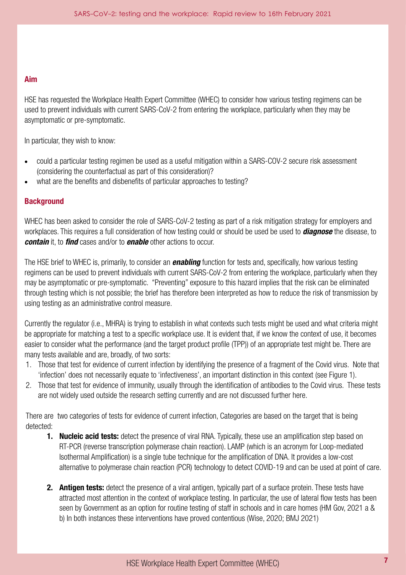#### Aim

HSE has requested the Workplace Health Expert Committee (WHEC) to consider how various testing regimens can be used to prevent individuals with current SARS-CoV-2 from entering the workplace, particularly when they may be asymptomatic or pre-symptomatic.

In particular, they wish to know:

- could a particular testing regimen be used as a useful mitigation within a SARS-COV-2 secure risk assessment (considering the counterfactual as part of this consideration)?
- what are the benefits and disbenefits of particular approaches to testing?

## **Background**

 *contain* it, to *fnd* cases and/or to *enable* other actions to occur. WHEC has been asked to consider the role of SARS-CoV-2 testing as part of a risk mitigation strategy for employers and workplaces. This requires a full consideration of how testing could or should be used be used to *diagnose* the disease, to

 may be asymptomatic or pre-symptomatic. "Preventing" exposure to this hazard implies that the risk can be eliminated The HSE brief to WHEC is, primarily, to consider an *enabling* function for tests and, specifcally, how various testing regimens can be used to prevent individuals with current SARS-CoV-2 from entering the workplace, particularly when they through testing which is not possible; the brief has therefore been interpreted as how to reduce the risk of transmission by using testing as an administrative control measure.

Currently the regulator (i.e., MHRA) is trying to establish in what contexts such tests might be used and what criteria might be appropriate for matching a test to a specific workplace use. It is evident that, if we know the context of use, it becomes easier to consider what the performance (and the target product profle (TPP)) of an appropriate test might be. There are many tests available and are, broadly, of two sorts:

- 1. Those that test for evidence of current infection by identifying the presence of a fragment of the Covid virus. Note that 'infection' does not necessarily equate to 'infectiveness', an important distinction in this context (see Figure 1).
- 2. Those that test for evidence of immunity, usually through the identifcation of antibodies to the Covid virus. These tests are not widely used outside the research setting currently and are not discussed further here.

There are two categories of tests for evidence of current infection, Categories are based on the target that is being detected:

- 1. Nucleic acid tests: detect the presence of viral RNA. Typically, these use an amplification step based on RT-PCR (reverse transcription polymerase chain reaction). LAMP (which is an acronym for Loop-mediated Isothermal Amplifcation) is a single tube technique for the amplifcation of DNA. It provides a low-cost alternative to polymerase chain reaction (PCR) technology to detect COVID-19 and can be used at point of care.
- 2. Antigen tests: detect the presence of a viral antigen, typically part of a surface protein. These tests have attracted most attention in the context of workplace testing. In particular, the use of lateral flow tests has been seen by Government as an option for routine testing of staff in schools and in care homes (HM Gov, 2021 a & b) In both instances these interventions have proved contentious (Wise, 2020; BMJ 2021)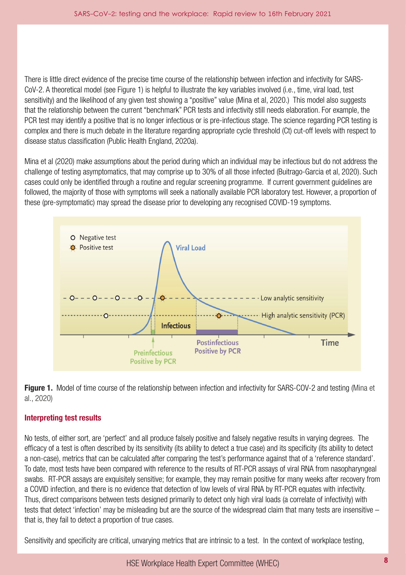There is little direct evidence of the precise time course of the relationship between infection and infectivity for SARS-CoV-2. A theoretical model (see Figure 1) is helpful to illustrate the key variables involved (i.e., time, viral load, test sensitivity) and the likelihood of any given test showing a "positive" value (Mina et al, 2020.) This model also suggests that the relationship between the current "benchmark" PCR tests and infectivity still needs elaboration. For example, the PCR test may identify a positive that is no longer infectious or is pre-infectious stage. The science regarding PCR testing is complex and there is much debate in the literature regarding appropriate cycle threshold (Ct) cut-off levels with respect to disease status classifcation (Public Health England, 2020a).

Mina et al (2020) make assumptions about the period during which an individual may be infectious but do not address the challenge of testing asymptomatics, that may comprise up to 30% of all those infected (Buitrago-Garcia et al, 2020). Such cases could only be identifed through a routine and regular screening programme. If current government guidelines are followed, the majority of those with symptoms will seek a nationally available PCR laboratory test. However, a proportion of these (pre-symptomatic) may spread the disease prior to developing any recognised COVID-19 symptoms.





# Interpreting test results

 No tests, of either sort, are 'perfect' and all produce falsely positive and falsely negative results in varying degrees. The a non-case), metrics that can be calculated after comparing the test's performance against that of a 'reference standard'. efficacy of a test is often described by its sensitivity (its ability to detect a true case) and its specificity (its ability to detect To date, most tests have been compared with reference to the results of RT-PCR assays of viral RNA from nasopharyngeal swabs. RT-PCR assays are exquisitely sensitive; for example, they may remain positive for many weeks after recovery from a COVID infection, and there is no evidence that detection of low levels of viral RNA by RT-PCR equates with infectivity. Thus, direct comparisons between tests designed primarily to detect only high viral loads (a correlate of infectivity) with tests that detect 'infection' may be misleading but are the source of the widespread claim that many tests are insensitive – that is, they fail to detect a proportion of true cases.

Sensitivity and specifcity are critical, unvarying metrics that are intrinsic to a test. In the context of workplace testing,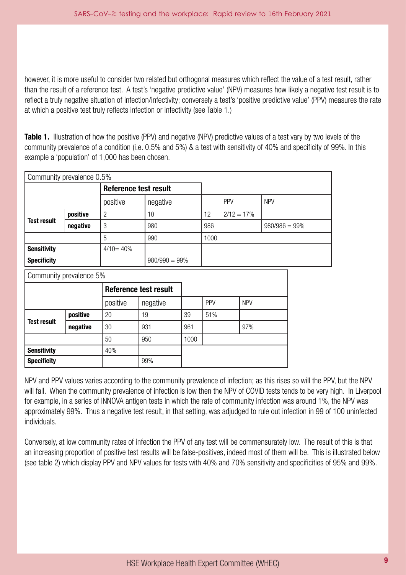than the result of a reference test. A test's 'negative predictive value' (NPV) measures how likely a negative test result is to however, it is more useful to consider two related but orthogonal measures which refect the value of a test result, rather refect a truly negative situation of infection/infectivity; conversely a test's 'positive predictive value' (PPV) measures the rate at which a positive test truly reflects infection or infectivity (see Table 1.)

Table 1. Illustration of how the positive (PPV) and negative (NPV) predictive values of a test vary by two levels of the community prevalence of a condition (i.e. 0.5% and 5%) & a test with sensitivity of 40% and specifcity of 99%. In this example a 'population' of 1,000 has been chosen.

|                       | Community prevalence 0.5% |                       |          |                  |     |              |                  |
|-----------------------|---------------------------|-----------------------|----------|------------------|-----|--------------|------------------|
|                       |                           | Reference test result |          |                  |     |              |                  |
|                       |                           | positive              | negative |                  |     | PPV          | <b>NPV</b>       |
|                       | positive                  | $\overline{2}$        | 10       |                  | 12  | $2/12 = 17%$ |                  |
| <b>Test result</b>    | negative                  | 3                     | 980      |                  | 986 |              | $980/986 = 99\%$ |
|                       |                           |                       | 990      |                  |     |              |                  |
| <b>Sensitivity</b>    |                           | $4/10 = 40%$          |          |                  |     |              |                  |
| <b>Specificity</b>    |                           |                       |          | $980/990 = 99\%$ |     |              |                  |
|                       | Community prevalence 5%   |                       |          |                  |     |              |                  |
| Reference test result |                           |                       |          |                  |     |              |                  |
|                       |                           | positive              | negative |                  | PPV | <b>NPV</b>   |                  |
| <b>Test result</b>    | positive                  | 20                    | 19       | 39               | 51% |              |                  |
|                       | negative                  | 30                    | 931      | 961              |     | 97%          |                  |
|                       |                           | 50                    | 950      | 1000             |     |              |                  |
| <b>Sensitivity</b>    |                           | 40%                   |          |                  |     |              |                  |
| <b>Specificity</b>    |                           |                       | 99%      |                  |     |              |                  |

 will fall. When the community prevalence of infection is low then the NPV of COVID tests tends to be very high. In Liverpool approximately 99%. Thus a negative test result, in that setting, was adjudged to rule out infection in 99 of 100 uninfected NPV and PPV values varies according to the community prevalence of infection; as this rises so will the PPV, but the NPV for example, in a series of INNOVA antigen tests in which the rate of community infection was around 1%, the NPV was individuals.

 Conversely, at low community rates of infection the PPV of any test will be commensurately low. The result of this is that an increasing proportion of positive test results will be false-positives, indeed most of them will be. This is illustrated below (see table 2) which display PPV and NPV values for tests with 40% and 70% sensitivity and specifcities of 95% and 99%.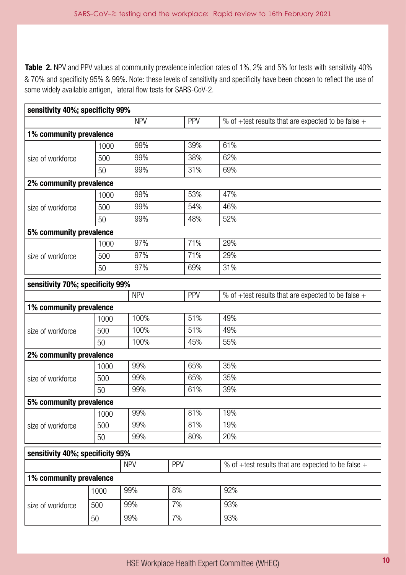Table 2. NPV and PPV values at community prevalence infection rates of 1%, 2% and 5% for tests with sensitivity 40% & 70% and specificity 95% & 99%. Note: these levels of sensitivity and specificity have been chosen to reflect the use of some widely available antigen, lateral flow tests for SARS-CoV-2.

| sensitivity 40%; specificity 99% |                         |            |    |     |                                                      |  |  |  |
|----------------------------------|-------------------------|------------|----|-----|------------------------------------------------------|--|--|--|
|                                  |                         | <b>NPV</b> |    | PPV | % of +test results that are expected to be false $+$ |  |  |  |
| 1% community prevalence          |                         |            |    |     |                                                      |  |  |  |
|                                  | 1000                    | 99%        |    | 39% | 61%                                                  |  |  |  |
| size of workforce                | 500                     | 99%        |    | 38% | 62%                                                  |  |  |  |
|                                  | 50                      | 99%        |    | 31% | 69%                                                  |  |  |  |
|                                  | 2% community prevalence |            |    |     |                                                      |  |  |  |
|                                  | 1000                    | 99%        |    |     | 47%                                                  |  |  |  |
| size of workforce                | 500                     | 99%        |    | 54% | 46%                                                  |  |  |  |
|                                  | 50                      | 99%        |    | 48% | 52%                                                  |  |  |  |
| 5% community prevalence          |                         |            |    |     |                                                      |  |  |  |
|                                  | 1000                    | 97%        |    | 71% | 29%                                                  |  |  |  |
| size of workforce                | 500                     | 97%        |    | 71% | 29%                                                  |  |  |  |
|                                  | 50                      | 97%        |    | 69% | 31%                                                  |  |  |  |
| sensitivity 70%; specificity 99% |                         |            |    |     |                                                      |  |  |  |
|                                  |                         | <b>NPV</b> |    | PPV | % of +test results that are expected to be false $+$ |  |  |  |
| 1% community prevalence          |                         |            |    |     |                                                      |  |  |  |
|                                  | 1000                    | 100%       |    | 51% | 49%                                                  |  |  |  |
| size of workforce                | 500                     | 100%       |    | 51% | 49%                                                  |  |  |  |
|                                  | 50                      | 100%       |    | 45% | 55%                                                  |  |  |  |
| 2% community prevalence          |                         |            |    |     |                                                      |  |  |  |
|                                  | 1000                    | 99%        |    | 65% | 35%                                                  |  |  |  |
| size of workforce                | 500                     | 99%        |    | 65% | 35%                                                  |  |  |  |
|                                  | 99%<br>50               |            |    | 61% | 39%                                                  |  |  |  |
| 5% community prevalence          |                         |            |    | 81% |                                                      |  |  |  |
|                                  | 1000                    | 99%        |    |     | 19%                                                  |  |  |  |
| size of workforce                | 500                     | 99%        |    | 81% | 19%                                                  |  |  |  |
|                                  | 50                      | 99%        |    | 80% | 20%                                                  |  |  |  |
| sensitivity 40%; specificity 95% |                         |            |    |     |                                                      |  |  |  |
| <b>NPV</b><br><b>PPV</b>         |                         |            |    |     | % of +test results that are expected to be false $+$ |  |  |  |
| 1% community prevalence          |                         |            |    |     |                                                      |  |  |  |
|                                  | 99%<br>1000             |            | 8% |     | 92%                                                  |  |  |  |
| size of workforce                | 500                     | 7%<br>99%  |    |     | 93%                                                  |  |  |  |
|                                  | 50                      | 99%        |    |     | 93%                                                  |  |  |  |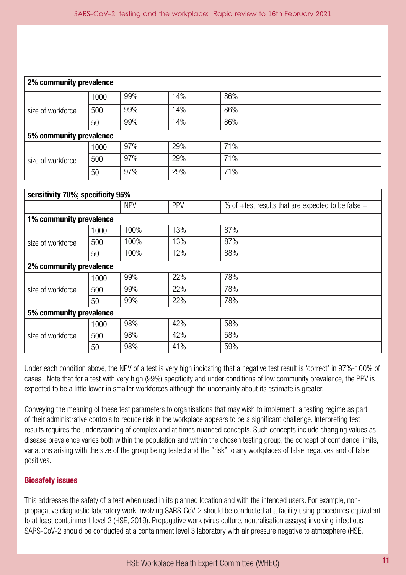| 2% community prevalence          |                         |            |     |                                                      |  |  |  |  |
|----------------------------------|-------------------------|------------|-----|------------------------------------------------------|--|--|--|--|
|                                  | 1000                    | 99%        | 14% | 86%                                                  |  |  |  |  |
| size of workforce                | 500                     | 99%        | 14% | 86%                                                  |  |  |  |  |
|                                  | 50                      | 99%        | 14% | 86%                                                  |  |  |  |  |
|                                  | 5% community prevalence |            |     |                                                      |  |  |  |  |
|                                  | 1000                    | 97%        | 29% | 71%                                                  |  |  |  |  |
| size of workforce                | 500                     | 97%        | 29% | 71%                                                  |  |  |  |  |
|                                  | 50                      | 97%        | 29% | 71%                                                  |  |  |  |  |
|                                  |                         |            |     |                                                      |  |  |  |  |
| sensitivity 70%; specificity 95% |                         |            |     |                                                      |  |  |  |  |
|                                  |                         | <b>NPV</b> | PPV | % of +test results that are expected to be false $+$ |  |  |  |  |
| 1% community prevalence          |                         |            |     |                                                      |  |  |  |  |
|                                  | 1000                    | 100%       | 13% | 87%                                                  |  |  |  |  |
| size of workforce                | 500                     | 100%       | 13% | 87%                                                  |  |  |  |  |
|                                  | 50                      | 100%       | 12% | 88%                                                  |  |  |  |  |
| 2% community prevalence          |                         |            |     |                                                      |  |  |  |  |
|                                  | 1000                    | 99%        | 22% | 78%                                                  |  |  |  |  |
| size of workforce                | 500                     | 99%        | 22% | 78%                                                  |  |  |  |  |
|                                  | 50                      | 99%        | 22% | 78%                                                  |  |  |  |  |
| 5% community prevalence          |                         |            |     |                                                      |  |  |  |  |
|                                  | 1000                    | 98%        | 42% | 58%                                                  |  |  |  |  |
| size of workforce                | 500                     | 98%        | 42% | 58%                                                  |  |  |  |  |
|                                  | 50                      | 98%        | 41% | 59%                                                  |  |  |  |  |

Under each condition above, the NPV of a test is very high indicating that a negative test result is 'correct' in 97%-100% of cases. Note that for a test with very high (99%) specificity and under conditions of low community prevalence, the PPV is expected to be a little lower in smaller workforces although the uncertainty about its estimate is greater.

 positives. Conveying the meaning of these test parameters to organisations that may wish to implement a testing regime as part of their administrative controls to reduce risk in the workplace appears to be a signifcant challenge. Interpreting test results requires the understanding of complex and at times nuanced concepts. Such concepts include changing values as disease prevalence varies both within the population and within the chosen testing group, the concept of confdence limits, variations arising with the size of the group being tested and the "risk" to any workplaces of false negatives and of false

## Biosafety issues

This addresses the safety of a test when used in its planned location and with the intended users. For example, nonpropagative diagnostic laboratory work involving SARS-CoV-2 should be conducted at a facility using procedures equivalent to at least containment level 2 (HSE, 2019). Propagative work (virus culture, neutralisation assays) involving infectious SARS-CoV-2 should be conducted at a containment level 3 laboratory with air pressure negative to atmosphere (HSE,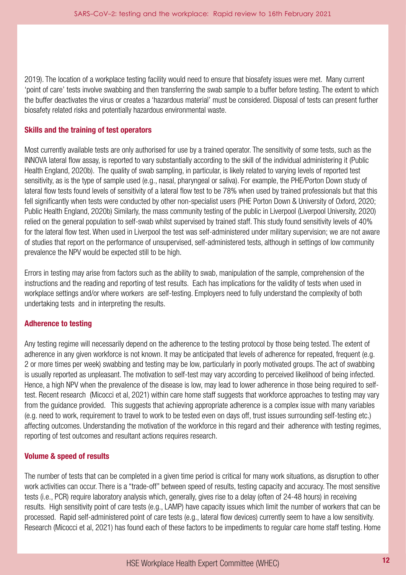2019). The location of a workplace testing facility would need to ensure that biosafety issues were met. Many current 'point of care' tests involve swabbing and then transferring the swab sample to a buffer before testing. The extent to which the buffer deactivates the virus or creates a 'hazardous material' must be considered. Disposal of tests can present further biosafety related risks and potentially hazardous environmental waste.

#### Skills and the training of test operators

 Health England, 2020b). The quality of swab sampling, in particular, is likely related to varying levels of reported test Most currently available tests are only authorised for use by a trained operator. The sensitivity of some tests, such as the INNOVA lateral fow assay, is reported to vary substantially according to the skill of the individual administering it (Public sensitivity, as is the type of sample used (e.g., nasal, pharyngeal or saliva). For example, the PHE/Porton Down study of lateral flow tests found levels of sensitivity of a lateral flow test to be 78% when used by trained professionals but that this fell significantly when tests were conducted by other non-specialist users (PHE Porton Down & University of Oxford, 2020; Public Health England, 2020b) Similarly, the mass community testing of the public in Liverpool (Liverpool University, 2020) relied on the general population to self-swab whilst supervised by trained staff. This study found sensitivity levels of 40% for the lateral flow test. When used in Liverpool the test was self-administered under military supervision; we are not aware of studies that report on the performance of unsupervised, self-administered tests, although in settings of low community prevalence the NPV would be expected still to be high.

Errors in testing may arise from factors such as the ability to swab, manipulation of the sample, comprehension of the instructions and the reading and reporting of test results. Each has implications for the validity of tests when used in workplace settings and/or where workers are self-testing. Employers need to fully understand the complexity of both undertaking tests and in interpreting the results.

#### Adherence to testing

 from the guidance provided. This suggests that achieving appropriate adherence is a complex issue with many variables reporting of test outcomes and resultant actions requires research. Any testing regime will necessarily depend on the adherence to the testing protocol by those being tested. The extent of adherence in any given workforce is not known. It may be anticipated that levels of adherence for repeated, frequent (e.g. 2 or more times per week) swabbing and testing may be low, particularly in poorly motivated groups. The act of swabbing is usually reported as unpleasant. The motivation to self-test may vary according to perceived likelihood of being infected. Hence, a high NPV when the prevalence of the disease is low, may lead to lower adherence in those being required to selftest. Recent research (Micocci et al, 2021) within care home staff suggests that workforce approaches to testing may vary (e.g. need to work, requirement to travel to work to be tested even on days off, trust issues surrounding self-testing etc.) affecting outcomes. Understanding the motivation of the workforce in this regard and their adherence with testing regimes,

#### Volume & speed of results

The number of tests that can be completed in a given time period is critical for many work situations, as disruption to other work activities can occur. There is a "trade-off" between speed of results, testing capacity and accuracy. The most sensitive tests (i.e., PCR) require laboratory analysis which, generally, gives rise to a delay (often of 24-48 hours) in receiving results. High sensitivity point of care tests (e.g., LAMP) have capacity issues which limit the number of workers that can be processed. Rapid self-administered point of care tests (e.g., lateral flow devices) currently seem to have a low sensitivity. Research (Micocci et al, 2021) has found each of these factors to be impediments to regular care home staff testing. Home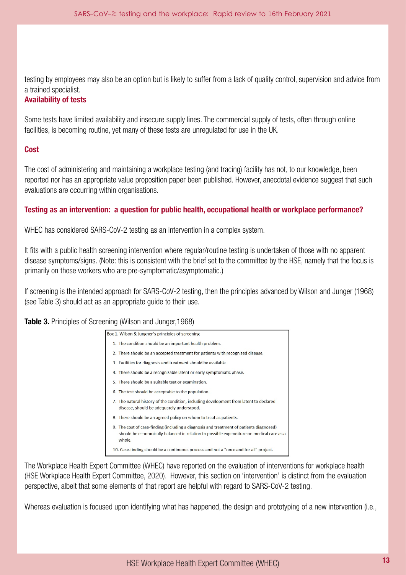a trained specialist. testing by employees may also be an option but is likely to suffer from a lack of quality control, supervision and advice from

# Availability of tests

Some tests have limited availability and insecure supply lines. The commercial supply of tests, often through online facilities, is becoming routine, yet many of these tests are unregulated for use in the UK.

## Cost

The cost of administering and maintaining a workplace testing (and tracing) facility has not, to our knowledge, been reported nor has an appropriate value proposition paper been published. However, anecdotal evidence suggest that such evaluations are occurring within organisations.

## Testing as an intervention: a question for public health, occupational health or workplace performance?

WHEC has considered SARS-CoV-2 testing as an intervention in a complex system.

It fits with a public health screening intervention where regular/routine testing is undertaken of those with no apparent disease symptoms/signs. (Note: this is consistent with the brief set to the committee by the HSE, namely that the focus is primarily on those workers who are pre-symptomatic/asymptomatic.)

If screening is the intended approach for SARS-CoV-2 testing, then the principles advanced by Wilson and Junger (1968) (see Table 3) should act as an appropriate guide to their use.

## **Table 3.** Principles of Screening (Wilson and Junger, 1968)

| Box 1. Wilson & Jungner's principles of screening                                                                                                                                             |
|-----------------------------------------------------------------------------------------------------------------------------------------------------------------------------------------------|
| 1. The condition should be an important health problem.                                                                                                                                       |
| 2. There should be an accepted treatment for patients with recognized disease.                                                                                                                |
| 3. Facilities for diagnosis and treatment should be available.                                                                                                                                |
| 4. There should be a recognizable latent or early symptomatic phase.                                                                                                                          |
| 5. There should be a suitable test or examination.                                                                                                                                            |
| 6. The test should be acceptable to the population.                                                                                                                                           |
| 7. The natural history of the condition, including development from latent to declared<br>disease, should be adequately understood.                                                           |
| 8. There should be an agreed policy on whom to treat as patients.                                                                                                                             |
| 9. The cost of case-finding (including a diagnosis and treatment of patients diagnosed)<br>should be economically balanced in relation to possible expenditure on medical care as a<br>whole. |
| 10. Case-finding should be a continuous process and not a "once and for all" project.                                                                                                         |

 perspective, albeit that some elements of that report are helpful with regard to SARS-CoV-2 testing. The Workplace Health Expert Committee (WHEC) have reported on the evaluation of interventions for workplace health (HSE Workplace Health Expert Committee, 2020). However, this section on 'intervention' is distinct from the evaluation

Whereas evaluation is focused upon identifying what has happened, the design and prototyping of a new intervention (i.e.,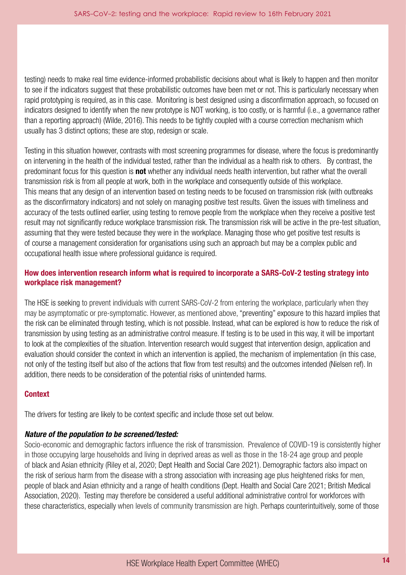testing) needs to make real time evidence-informed probabilistic decisions about what is likely to happen and then monitor to see if the indicators suggest that these probabilistic outcomes have been met or not. This is particularly necessary when rapid prototyping is required, as in this case. Monitoring is best designed using a disconfrmation approach, so focused on indicators designed to identify when the new prototype is NOT working, is too costly, or is harmful (i.e., a governance rather than a reporting approach) (Wilde, 2016). This needs to be tightly coupled with a course correction mechanism which usually has 3 distinct options; these are stop, redesign or scale.

 occupational health issue where professional guidance is required. Testing in this situation however, contrasts with most screening programmes for disease, where the focus is predominantly on intervening in the health of the individual tested, rather than the individual as a health risk to others. By contrast, the predominant focus for this question is **not** whether any individual needs health intervention, but rather what the overall transmission risk is from all people at work, both in the workplace and consequently outside of this workplace. This means that any design of an intervention based on testing needs to be focused on transmission risk (with outbreaks as the disconfrmatory indicators) and not solely on managing positive test results. Given the issues with timeliness and accuracy of the tests outlined earlier, using testing to remove people from the workplace when they receive a positive test result may not signifcantly reduce workplace transmission risk. The transmission risk will be active in the pre-test situation, assuming that they were tested because they were in the workplace. Managing those who get positive test results is of course a management consideration for organisations using such an approach but may be a complex public and

## How does intervention research inform what is required to incorporate a SARS-CoV-2 testing strategy into workplace risk management?

The HSE is seeking to prevent individuals with current SARS-CoV-2 from entering the workplace, particularly when they may be asymptomatic or pre-symptomatic. However, as mentioned above, "preventing" exposure to this hazard implies that the risk can be eliminated through testing, which is not possible. Instead, what can be explored is how to reduce the risk of transmission by using testing as an administrative control measure. If testing is to be used in this way, it will be important to look at the complexities of the situation. Intervention research would suggest that intervention design, application and evaluation should consider the context in which an intervention is applied, the mechanism of implementation (in this case, not only of the testing itself but also of the actions that flow from test results) and the outcomes intended (Nielsen ref). In addition, there needs to be consideration of the potential risks of unintended harms.

## Context

The drivers for testing are likely to be context specific and include those set out below.

## *Nature of the population to be screened/tested:*

 Association, 2020). Testing may therefore be considered a useful additional administrative control for workforces with Socio-economic and demographic factors infuence the risk of transmission. Prevalence of COVID-19 is consistently higher in those occupying large households and living in deprived areas as well as those in the 18-24 age group and people of black and Asian ethnicity (Riley et al, 2020; Dept Health and Social Care 2021). Demographic factors also impact on the risk of serious harm from the disease with a strong association with increasing age plus heightened risks for men, people of black and Asian ethnicity and a range of health conditions (Dept. Health and Social Care 2021; British Medical these characteristics, especially when levels of community transmission are high. Perhaps counterintuitively, some of those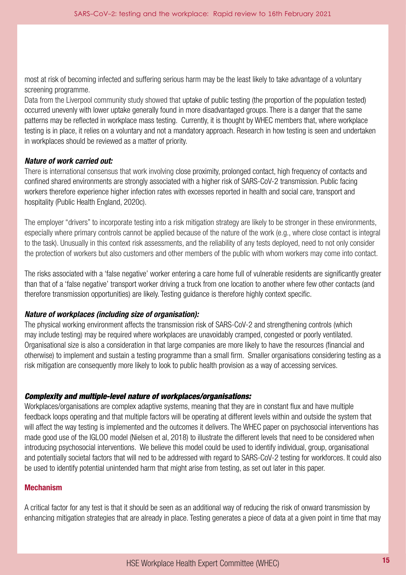most at risk of becoming infected and suffering serious harm may be the least likely to take advantage of a voluntary screening programme.

 in workplaces should be reviewed as a matter of priority. Data from the Liverpool community study showed that uptake of public testing (the proportion of the population tested) occurred unevenly with lower uptake generally found in more disadvantaged groups. There is a danger that the same patterns may be refected in workplace mass testing. Currently, it is thought by WHEC members that, where workplace testing is in place, it relies on a voluntary and not a mandatory approach. Research in how testing is seen and undertaken

#### *Nature of work carried out:*

There is international consensus that work involving close proximity, prolonged contact, high frequency of contacts and confned shared environments are strongly associated with a higher risk of SARS-CoV-2 transmission. Public facing workers therefore experience higher infection rates with excesses reported in health and social care, transport and hospitality (Public Health England, 2020c).

 the protection of workers but also customers and other members of the public with whom workers may come into contact. The employer "drivers" to incorporate testing into a risk mitigation strategy are likely to be stronger in these environments, especially where primary controls cannot be applied because of the nature of the work (e.g., where close contact is integral to the task). Unusually in this context risk assessments, and the reliability of any tests deployed, need to not only consider

The risks associated with a 'false negative' worker entering a care home full of vulnerable residents are signifcantly greater than that of a 'false negative' transport worker driving a truck from one location to another where few other contacts (and therefore transmission opportunities) are likely. Testing guidance is therefore highly context specifc.

#### *Nature of workplaces (including size of organisation):*

may include testing) may be required where workplaces are unavoidably cramped, congested or poorly ventilated, The physical working environment affects the transmission risk of SARS-CoV-2 and strengthening controls (which Organisational size is also a consideration in that large companies are more likely to have the resources (financial and otherwise) to implement and sustain a testing programme than a small frm. Smaller organisations considering testing as a risk mitigation are consequently more likely to look to public health provision as a way of accessing services.

#### *Complexity and multiple-level nature of workplaces/organisations:*

 introducing psychosocial interventions. We believe this model could be used to identify individual, group, organisational be used to identify potential unintended harm that might arise from testing, as set out later in this paper. Workplaces/organisations are complex adaptive systems, meaning that they are in constant fux and have multiple feedback loops operating and that multiple factors will be operating at different levels within and outside the system that will affect the way testing is implemented and the outcomes it delivers. The WHEC paper on psychosocial interventions has made good use of the IGLOO model (Nielsen et al, 2018) to illustrate the different levels that need to be considered when and potentially societal factors that will ned to be addressed with regard to SARS-CoV-2 testing for workforces. It could also

#### Mechanism

A critical factor for any test is that it should be seen as an additional way of reducing the risk of onward transmission by enhancing mitigation strategies that are already in place. Testing generates a piece of data at a given point in time that may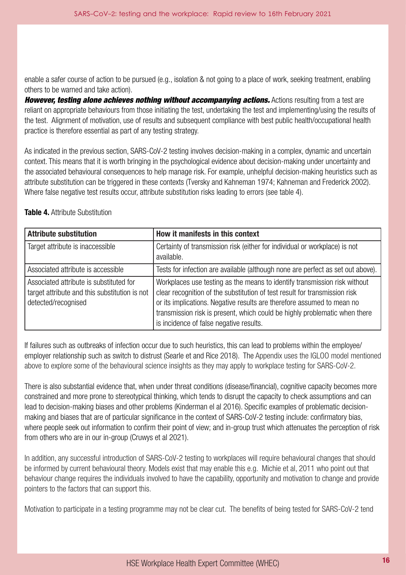enable a safer course of action to be pursued (e.g., isolation & not going to a place of work, seeking treatment, enabling others to be warned and take action).

 the test. Alignment of motivation, use of results and subsequent compliance with best public health/occupational health **However, testing alone achieves nothing without accompanying actions.** Actions resulting from a test are reliant on appropriate behaviours from those initiating the test, undertaking the test and implementing/using the results of practice is therefore essential as part of any testing strategy.

As indicated in the previous section, SARS-CoV-2 testing involves decision-making in a complex, dynamic and uncertain context. This means that it is worth bringing in the psychological evidence about decision-making under uncertainty and the associated behavioural consequences to help manage risk. For example, unhelpful decision-making heuristics such as attribute substitution can be triggered in these contexts (Tversky and Kahneman 1974; Kahneman and Frederick 2002). Where false negative test results occur, attribute substitution risks leading to errors (see table 4).

## Table 4. Attribute Substitution

| <b>Attribute substitution</b>                                                                                   | How it manifests in this context                                                                                                                                                                                                                                                                                                                           |
|-----------------------------------------------------------------------------------------------------------------|------------------------------------------------------------------------------------------------------------------------------------------------------------------------------------------------------------------------------------------------------------------------------------------------------------------------------------------------------------|
| Target attribute is inaccessible                                                                                | Certainty of transmission risk (either for individual or workplace) is not<br>available.                                                                                                                                                                                                                                                                   |
| Associated attribute is accessible                                                                              | Tests for infection are available (although none are perfect as set out above).                                                                                                                                                                                                                                                                            |
| Associated attribute is substituted for<br>target attribute and this substitution is not<br>detected/recognised | Workplaces use testing as the means to identify transmission risk without<br>clear recognition of the substitution of test result for transmission risk<br>or its implications. Negative results are therefore assumed to mean no<br>transmission risk is present, which could be highly problematic when there<br>is incidence of false negative results. |

 employer relationship such as switch to distrust (Searle et and Rice 2018). The Appendix uses the IGLOO model mentioned If failures such as outbreaks of infection occur due to such heuristics, this can lead to problems within the employee/ above to explore some of the behavioural science insights as they may apply to workplace testing for SARS-CoV-2.

There is also substantial evidence that, when under threat conditions (disease/fnancial), cognitive capacity becomes more constrained and more prone to stereotypical thinking, which tends to disrupt the capacity to check assumptions and can lead to decision-making biases and other problems (Kinderman el al 2016). Specifc examples of problematic decisionmaking and biases that are of particular significance in the context of SARS-CoV-2 testing include: confirmatory bias, where people seek out information to confirm their point of view; and in-group trust which attenuates the perception of risk from others who are in our in-group (Cruwys et al 2021).

In addition, any successful introduction of SARS-CoV-2 testing to workplaces will require behavioural changes that should be informed by current behavioural theory. Models exist that may enable this e.g. Michie et al, 2011 who point out that behaviour change requires the individuals involved to have the capability, opportunity and motivation to change and provide pointers to the factors that can support this.

Motivation to participate in a testing programme may not be clear cut. The benefits of being tested for SARS-CoV-2 tend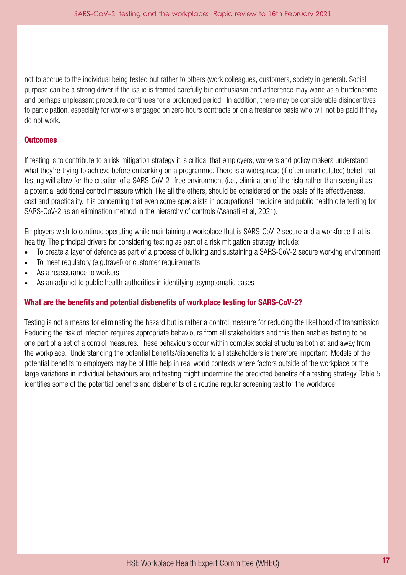not to accrue to the individual being tested but rather to others (work colleagues, customers, society in general). Social purpose can be a strong driver if the issue is framed carefully but enthusiasm and adherence may wane as a burdensome and perhaps unpleasant procedure continues for a prolonged period. In addition, there may be considerable disincentives to participation, especially for workers engaged on zero hours contracts or on a freelance basis who will not be paid if they do not work.

## **Outcomes**

If testing is to contribute to a risk mitigation strategy it is critical that employers, workers and policy makers understand what they're trying to achieve before embarking on a programme. There is a widespread (if often unarticulated) belief that testing will allow for the creation of a SARS-CoV-2 -free environment (i.e., elimination of the risk) rather than seeing it as a potential additional control measure which, like all the others, should be considered on the basis of its effectiveness, cost and practicality. It is concerning that even some specialists in occupational medicine and public health cite testing for SARS-CoV-2 as an elimination method in the hierarchy of controls (Asanati et al, 2021).

Employers wish to continue operating while maintaining a workplace that is SARS-CoV-2 secure and a workforce that is healthy. The principal drivers for considering testing as part of a risk mitigation strategy include:

- To create a layer of defence as part of a process of building and sustaining a SARS-CoV-2 secure working environment
- To meet regulatory (e.g.travel) or customer requirements
- As a reassurance to workers
- As an adjunct to public health authorities in identifying asymptomatic cases

# What are the benefits and potential disbenefits of workplace testing for SARS-CoV-2?

Testing is not a means for eliminating the hazard but is rather a control measure for reducing the likelihood of transmission. Reducing the risk of infection requires appropriate behaviours from all stakeholders and this then enables testing to be one part of a set of a control measures. These behaviours occur within complex social structures both at and away from the workplace. Understanding the potential benefits/disbenefits to all stakeholders is therefore important. Models of the potential benefits to employers may be of little help in real world contexts where factors outside of the workplace or the large variations in individual behaviours around testing might undermine the predicted benefits of a testing strategy. Table 5 identifies some of the potential benefits and disbenefits of a routine regular screening test for the workforce.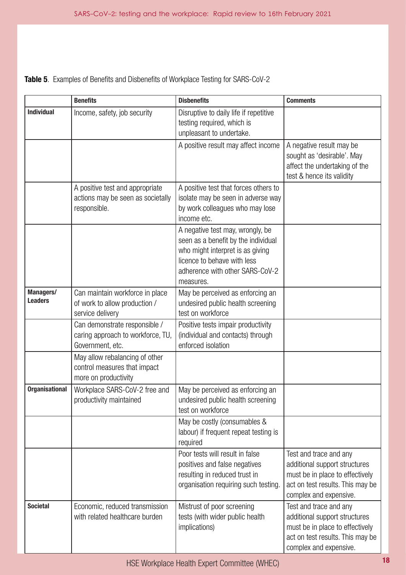Table 5. Examples of Benefits and Disbenefits of Workplace Testing for SARS-CoV-2

|                             | <b>Benefits</b>                                                                        | <b>Disbenefits</b>                                                                                                                                                                         | <b>Comments</b>                                                                                                                                          |
|-----------------------------|----------------------------------------------------------------------------------------|--------------------------------------------------------------------------------------------------------------------------------------------------------------------------------------------|----------------------------------------------------------------------------------------------------------------------------------------------------------|
| <b>Individual</b>           | Income, safety, job security                                                           | Disruptive to daily life if repetitive<br>testing required, which is<br>unpleasant to undertake.                                                                                           |                                                                                                                                                          |
|                             |                                                                                        | A positive result may affect income                                                                                                                                                        | A negative result may be<br>sought as 'desirable'. May<br>affect the undertaking of the<br>test & hence its validity                                     |
|                             | A positive test and appropriate<br>actions may be seen as societally<br>responsible.   | A positive test that forces others to<br>isolate may be seen in adverse way<br>by work colleagues who may lose<br>income etc.                                                              |                                                                                                                                                          |
|                             |                                                                                        | A negative test may, wrongly, be<br>seen as a benefit by the individual<br>who might interpret is as giving<br>licence to behave with less<br>adherence with other SARS-CoV-2<br>measures. |                                                                                                                                                          |
| Managers/<br><b>Leaders</b> | Can maintain workforce in place<br>of work to allow production /<br>service delivery   | May be perceived as enforcing an<br>undesired public health screening<br>test on workforce                                                                                                 |                                                                                                                                                          |
|                             | Can demonstrate responsible /<br>caring approach to workforce, TU,<br>Government, etc. | Positive tests impair productivity<br>(individual and contacts) through<br>enforced isolation                                                                                              |                                                                                                                                                          |
|                             | May allow rebalancing of other<br>control measures that impact<br>more on productivity |                                                                                                                                                                                            |                                                                                                                                                          |
| <b>Organisational</b>       | Workplace SARS-CoV-2 free and<br>productivity maintained                               | May be perceived as enforcing an<br>undesired public health screening<br>test on workforce                                                                                                 |                                                                                                                                                          |
|                             |                                                                                        | May be costly (consumables &<br>labour) if frequent repeat testing is<br>required                                                                                                          |                                                                                                                                                          |
|                             |                                                                                        | Poor tests will result in false<br>positives and false negatives<br>resulting in reduced trust in<br>organisation requiring such testing.                                                  | Test and trace and any<br>additional support structures<br>must be in place to effectively<br>act on test results. This may be<br>complex and expensive. |
| <b>Societal</b>             | Economic, reduced transmission<br>with related healthcare burden                       | Mistrust of poor screening<br>tests (with wider public health<br>implications)                                                                                                             | Test and trace and any<br>additional support structures<br>must be in place to effectively<br>act on test results. This may be<br>complex and expensive. |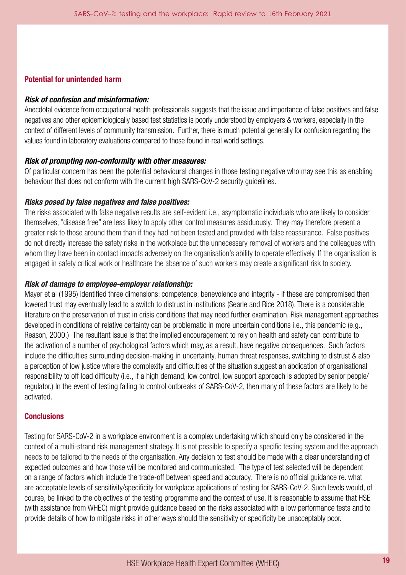## Potential for unintended harm

## *Risk of confusion and misinformation:*

Anecdotal evidence from occupational health professionals suggests that the issue and importance of false positives and false negatives and other epidemiologically based test statistics is poorly understood by employers & workers, especially in the context of different levels of community transmission. Further, there is much potential generally for confusion regarding the values found in laboratory evaluations compared to those found in real world settings.

## *Risk of prompting non-conformity with other measures:*

 behaviour that does not conform with the current high SARS-CoV-2 security guidelines. Of particular concern has been the potential behavioural changes in those testing negative who may see this as enabling

## *Risks posed by false negatives and false positives:*

 themselves, "disease free" are less likely to apply other control measures assiduously. They may therefore present a engaged in safety critical work or healthcare the absence of such workers may create a signifcant risk to society. The risks associated with false negative results are self-evident i.e., asymptomatic individuals who are likely to consider greater risk to those around them than if they had not been tested and provided with false reassurance. False positives do not directly increase the safety risks in the workplace but the unnecessary removal of workers and the colleagues with whom they have been in contact impacts adversely on the organisation's ability to operate effectively. If the organisation is

# *Risk of damage to employee-employer relationship:*

 activated. Mayer et al (1995) identifed three dimensions: competence, benevolence and integrity - if these are compromised then lowered trust may eventually lead to a switch to distrust in institutions (Searle and Rice 2018). There is a considerable literature on the preservation of trust in crisis conditions that may need further examination. Risk management approaches developed in conditions of relative certainty can be problematic in more uncertain conditions i.e., this pandemic (e.g., Reason, 2000.) The resultant issue is that the implied encouragement to rely on health and safety can contribute to the activation of a number of psychological factors which may, as a result, have negative consequences. Such factors include the difficulties surrounding decision-making in uncertainty, human threat responses, switching to distrust & also a perception of low justice where the complexity and difficulties of the situation suggest an abdication of organisational responsibility to off load difficulty (i.e., if a high demand, low control, low support approach is adopted by senior people/ regulator.) In the event of testing failing to control outbreaks of SARS-CoV-2, then many of these factors are likely to be

## **Conclusions**

 expected outcomes and how those will be monitored and communicated. The type of test selected will be dependent on a range of factors which include the trade-off between speed and accuracy. There is no official guidance re. what provide details of how to mitigate risks in other ways should the sensitivity or specifcity be unacceptably poor. Testing for SARS-CoV-2 in a workplace environment is a complex undertaking which should only be considered in the context of a multi-strand risk management strategy. It is not possible to specify a specifc testing system and the approach needs to be tailored to the needs of the organisation. Any decision to test should be made with a clear understanding of are acceptable levels of sensitivity/specificity for workplace applications of testing for SARS-CoV-2. Such levels would, of course, be linked to the objectives of the testing programme and the context of use. It is reasonable to assume that HSE (with assistance from WHEC) might provide guidance based on the risks associated with a low performance tests and to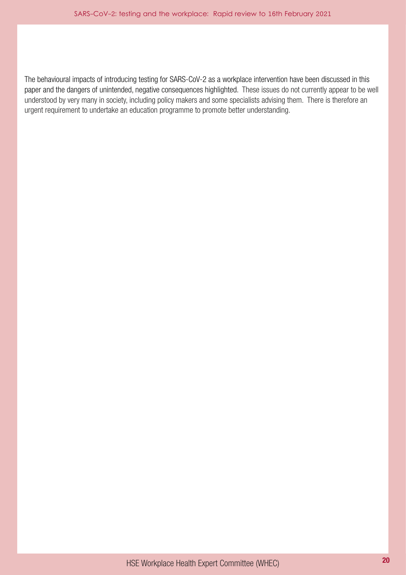paper and the dangers of unintended, negative consequences highlighted. These issues do not currently appear to be well understood by very many in society, including policy makers and some specialists advising them. There is therefore an urgent requirement to undertake an education programme to promote better understanding. The behavioural impacts of introducing testing for SARS-CoV-2 as a workplace intervention have been discussed in this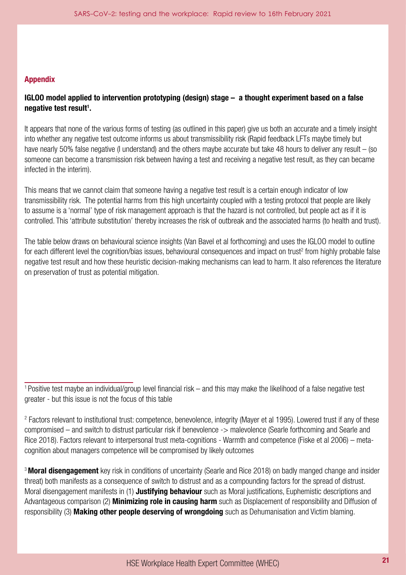## Appendix

# IGLOO model applied to intervention prototyping (design) stage – a thought experiment based on a false negative test result<sup>1</sup>.

It appears that none of the various forms of testing (as outlined in this paper) give us both an accurate and a timely insight into whether any negative test outcome informs us about transmissibility risk (Rapid feedback LFTs maybe timely but have nearly 50% false negative (I understand) and the others maybe accurate but take 48 hours to deliver any result – (so someone can become a transmission risk between having a test and receiving a negative test result, as they can became infected in the interim).

 transmissibility risk. The potential harms from this high uncertainty coupled with a testing protocol that people are likely This means that we cannot claim that someone having a negative test result is a certain enough indicator of low to assume is a 'normal' type of risk management approach is that the hazard is not controlled, but people act as if it is controlled. This 'attribute substitution' thereby increases the risk of outbreak and the associated harms (to health and trust).

The table below draws on behavioural science insights (Van Bavel et al forthcoming) and uses the IGLOO model to outline for each different level the cognition/bias issues, behavioural consequences and impact on trust<sup>2</sup> from highly probable false negative test result and how these heuristic decision-making mechanisms can lead to harm. It also references the literature on preservation of trust as potential mitigation.

<sup>1</sup> Positive test maybe an individual/group level financial risk – and this may make the likelihood of a false negative test greater - but this issue is not the focus of this table

<sup>2</sup> Factors relevant to institutional trust: competence, benevolence, integrity (Mayer et al 1995). Lowered trust if any of these compromised – and switch to distrust particular risk if benevolence -> malevolence (Searle forthcoming and Searle and Rice 2018). Factors relevant to interpersonal trust meta-cognitions - Warmth and competence (Fiske et al 2006) – metacognition about managers competence will be compromised by likely outcomes

<sup>3</sup> Moral disengagement key risk in conditions of uncertainty (Searle and Rice 2018) on badly manged change and insider threat) both manifests as a consequence of switch to distrust and as a compounding factors for the spread of distrust. Moral disengagement manifests in (1) Justifying behaviour such as Moral justifications, Euphemistic descriptions and Advantageous comparison (2) **Minimizing role in causing harm** such as Displacement of responsibility and Diffusion of responsibility (3) Making other people deserving of wrongdoing such as Dehumanisation and Victim blaming.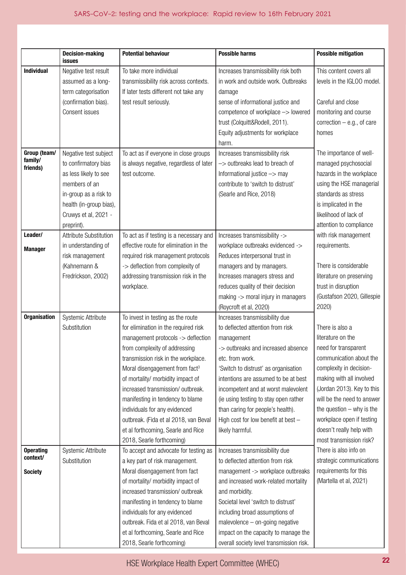|                              | <b>Decision-making</b>                     | <b>Potential behaviour</b>                 | <b>Possible harms</b>                                    | <b>Possible mitigation</b>         |
|------------------------------|--------------------------------------------|--------------------------------------------|----------------------------------------------------------|------------------------------------|
| <b>Individual</b>            | <b>issues</b>                              | To take more individual                    | Increases transmissibility risk both                     | This content covers all            |
|                              | Negative test result<br>assumed as a long- | transmissibility risk across contexts.     | in work and outside work. Outbreaks                      | levels in the IGLOO model.         |
|                              | term categorisation                        | If later tests different not take any      | damage                                                   |                                    |
|                              | (confirmation bias).                       | test result seriously.                     | sense of informational justice and                       | Careful and close                  |
|                              | Consent issues                             |                                            | competence of workplace -> lowered                       | monitoring and course              |
|                              |                                            |                                            | trust (Colquitt&Rodell, 2011).                           | correction $-$ e.g., of care       |
|                              |                                            |                                            | Equity adjustments for workplace                         | homes                              |
|                              |                                            |                                            | harm.                                                    |                                    |
| Group (team/                 | Negative test subject                      | To act as if everyone in close groups      | Increases transmissibility risk                          | The importance of well-            |
| family/<br>friends)          | to confirmatory bias                       | is always negative, regardless of later    | -> outbreaks lead to breach of                           | managed psychosocial               |
|                              | as less likely to see                      | test outcome.                              | Informational justice -> may                             | hazards in the workplace           |
|                              | members of an                              |                                            | contribute to 'switch to distrust'                       | using the HSE managerial           |
|                              | in-group as a risk to                      |                                            | (Searle and Rice, 2018)                                  | standards as stress                |
|                              | health (in-group bias),                    |                                            |                                                          | is implicated in the               |
|                              | Cruwys et al, 2021 -                       |                                            |                                                          | likelihood of lack of              |
|                              | preprint).                                 |                                            |                                                          | attention to compliance            |
| Leader/                      | Attribute Substitution                     | To act as if testing is a necessary and    | Increases transmissibility ->                            | with risk management               |
| <b>Manager</b>               | in understanding of                        | effective route for elimination in the     | workplace outbreaks evidenced ->                         | requirements.                      |
|                              | risk management                            | required risk management protocols         | Reduces interpersonal trust in                           |                                    |
|                              | (Kahnemann &                               | -> deflection from complexity of           | managers and by managers.                                | There is considerable              |
|                              | Fredrickson, 2002)                         | addressing transmission risk in the        | Increases managers stress and                            | literature on preserving           |
|                              |                                            | workplace.                                 | reduces quality of their decision                        | trust in disruption                |
|                              |                                            |                                            | making -> moral injury in managers                       | (Gustafson 2020, Gillespie<br>2020 |
| <b>Organisation</b>          | Systemic Attribute                         | To invest in testing as the route          | (Roycroft et al, 2020)<br>Increases transmissibility due |                                    |
|                              | Substitution                               | for elimination in the required risk       | to deflected attention from risk                         | There is also a                    |
|                              |                                            | management protocols -> deflection         | management                                               | literature on the                  |
|                              |                                            | from complexity of addressing              | -> outbreaks and increased absence                       | need for transparent               |
|                              |                                            | transmission risk in the workplace.        | etc. from work.                                          | communication about the            |
|                              |                                            | Moral disengagement from fact <sup>3</sup> | 'Switch to distrust' as organisation                     | complexity in decision-            |
|                              |                                            | of mortality/ morbidity impact of          | intentions are assumed to be at best                     | making with all involved           |
|                              |                                            | increased transmission/outbreak.           | incompetent and at worst malevolent                      | (Jordan 2013). Key to this         |
|                              |                                            | manifesting in tendency to blame           | (ie using testing to stay open rather                    | will be the need to answer         |
|                              |                                            | individuals for any evidenced              | than caring for people's health).                        | the question $-$ why is the        |
|                              |                                            | outbreak. (Fida et al 2018, van Beval      | High cost for low benefit at best -                      | workplace open if testing          |
|                              |                                            | et al forthcoming, Searle and Rice         | likely harmful.                                          | doesn't really help with           |
|                              |                                            | 2018, Searle forthcoming)                  |                                                          | most transmission risk?            |
| <b>Operating</b><br>context/ | Systemic Attribute                         | To accept and advocate for testing as      | Increases transmissibility due                           | There is also info on              |
|                              | Substitution                               | a key part of risk management.             | to deflected attention from risk                         | strategic communications           |
| <b>Society</b>               |                                            | Moral disengagement from fact              | management -> workplace outbreaks                        | requirements for this              |
|                              |                                            | of mortality/ morbidity impact of          | and increased work-related mortality                     | (Martella et al, 2021)             |
|                              |                                            | increased transmission/outbreak            | and morbidity.                                           |                                    |
|                              |                                            | manifesting in tendency to blame           | Societal level 'switch to distrust'                      |                                    |
|                              |                                            | individuals for any evidenced              | including broad assumptions of                           |                                    |
|                              |                                            | outbreak. Fida et al 2018, van Beval       | malevolence - on-going negative                          |                                    |
|                              |                                            | et al forthcoming, Searle and Rice         | impact on the capacity to manage the                     |                                    |
|                              |                                            | 2018, Searle forthcoming)                  | overall society level transmission risk.                 |                                    |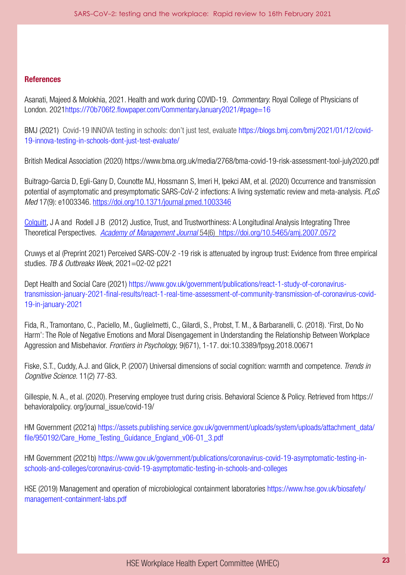#### **References**

 Asanati, Majeed & Molokhia, 2021. Health and work during COVID-19. *Commentary.* Royal College of Physicians of London. 2021https://70b706f2.flowpaper.com/CommentaryJanuary2021/#page=16

BMJ (2021) Covid-19 INNOVA testing in schools: don't just test, evaluate [https://blogs.bmj.com/bmj/2021/01/12/covid-](https://blogs.bmj.com/bmj/2021/01/12/covid-19-innova-testing-in-schools-dont-just-test-evaluate/)[19-innova-testing-in-schools-dont-just-test-evaluate/](https://blogs.bmj.com/bmj/2021/01/12/covid-19-innova-testing-in-schools-dont-just-test-evaluate/) 

British Medical Association (2020) https://www.bma.org.uk/media/2768/bma-covid-19-risk-assessment-tool-july2020.pdf

Buitrago-Garcia D, Egli-Gany D, Counotte MJ, Hossmann S, Imeri H, Ipekci AM, et al. (2020) Occurrence and transmission potential of asymptomatic and presymptomatic SARS-CoV-2 infections: A living systematic review and meta-analysis. *PLoS Med* 17(9): e1003346.<https://doi.org/10.1371/journal.pmed.1003346>

 Theoretical Perspectives. *[Academy of Management Journal](https://journals.aom.org/journal/amj)* [54\(6\)](file:///C:/Users/shared/Desktop/WHEC%20report%20Rapid%20Covid%20Testing/ 54(6)) <https://doi.org/10.5465/amj.2007.0572> [Colquitt](https://journals.aom.org/doi/abs/10.5465/amj.2007.0572), J A and Rodell J B (2012) Justice, Trust, and Trustworthiness: A Longitudinal Analysis Integrating Three

Cruwys et al (Preprint 2021) Perceived SARS-COV-2 -19 risk is attenuated by ingroup trust: Evidence from three empirical studies. *TB & Outbreaks Week*, 2021=02-02 p221

Dept Health and Social Care (2021) [https://www.gov.uk/government/publications/react-1-study-of-coronavirus](https://www.gov.uk/government/publications/react-1-study-of-coronavirus-transmission-january-2021-final-results/react-1-real-time-assessment-of-community-transmission-of-coronavirus-covid-19-in-january-2021)[transmission-january-2021-fnal-results/react-1-real-time-assessment-of-community-transmission-of-coronavirus-covid-](https://www.gov.uk/government/publications/react-1-study-of-coronavirus-transmission-january-2021-final-results/react-1-real-time-assessment-of-community-transmission-of-coronavirus-covid-19-in-january-2021)[19-in-january-2021](https://www.gov.uk/government/publications/react-1-study-of-coronavirus-transmission-january-2021-final-results/react-1-real-time-assessment-of-community-transmission-of-coronavirus-covid-19-in-january-2021)

Fida, R., Tramontano, C., Paciello, M., Guglielmetti, C., Gilardi, S., Probst, T. M., & Barbaranelli, C. (2018). 'First, Do No Harm': The Role of Negative Emotions and Moral Disengagement in Understanding the Relationship Between Workplace Aggression and Misbehavior. *Frontiers in Psychology,* 9(671), 1-17. doi:10.3389/fpsyg.2018.00671

Fiske, S.T., Cuddy, A.J. and Glick, P. (2007) Universal dimensions of social cognition: warmth and competence. *Trends in Cognitive Science*. 11(2) 77-83.

Gillespie, N. A., et al. (2020). Preserving employee trust during crisis. Behavioral Science & Policy. Retrieved from https:// behavioralpolicy. org/journal\_issue/covid-19/

HM Government (2021a) https://assets.publishing.service.gov.uk/government/uploads/system/uploads/attachment\_data/ file/950192/Care Home Testing Guidance England v06-01 3.pdf

HM Government (2021b) [https://www.gov.uk/government/publications/coronavirus-covid-19-asymptomatic-testing-in](https://www.gov.uk/government/publications/coronavirus-covid-19-asymptomatic-testing-in-schools-and-colleges/coronavirus-covid-19-asymptomatic-testing-in-schools-and-colleges)[schools-and-colleges/coronavirus-covid-19-asymptomatic-testing-in-schools-and-colleges](https://www.gov.uk/government/publications/coronavirus-covid-19-asymptomatic-testing-in-schools-and-colleges/coronavirus-covid-19-asymptomatic-testing-in-schools-and-colleges)

HSE (2019) Management and operation of microbiological containment laboratories [https://www.hse.gov.uk/biosafety/](https://www.hse.gov.uk/biosafety/management-containment-labs.pdf) [management-containment-labs.pdf](https://www.hse.gov.uk/biosafety/management-containment-labs.pdf)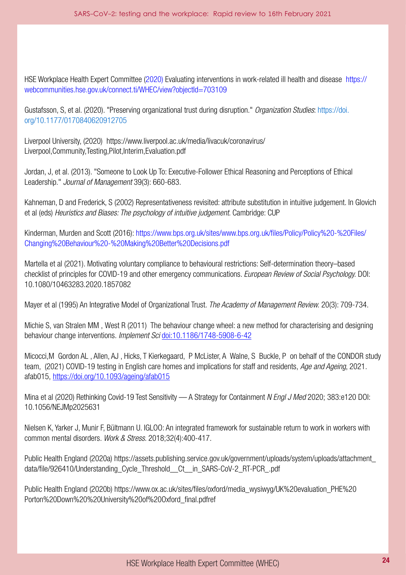HSE Workplace Health Expert Committee (2020) Evaluating interventions in work-related ill health and disease https:// webcommunities.hse.gov.uk/connect.ti/WHEC/view?objectId=703109

Gustafsson, S, et al. (2020). "Preserving organizational trust during disruption." *Organization Studies*: [https://doi.](https://doi.org/10.1177%2F0170840620912705) [org/10.1177/0170840620912705](https://doi.org/10.1177%2F0170840620912705)

Liverpool University, (2020) https://www.liverpool.ac.uk/media/livacuk/coronavirus/ Liverpool,Community,Testing,Pilot,Interim,Evaluation.pdf

Jordan, J, et al. (2013). "Someone to Look Up To: Executive-Follower Ethical Reasoning and Perceptions of Ethical Leadership." *Journal of Management* 39(3): 660-683.

Kahneman, D and Frederick, S (2002) Representativeness revisited: attribute substitution in intuitive judgement. In Glovich et al (eds) *Heuristics and Biases: The psychology of intuitive judgement*. Cambridge: CUP

Kinderman, Murden and Scott (2016): [https://www.bps.org.uk/sites/www.bps.org.uk/fles/Policy/Policy%20-%20Files/](https://www.bps.org.uk/sites/www.bps.org.uk/files/Policy/Policy%20-%20Files/Changing%20Behaviour%20-%20Making%20Better%20Decisions.pdf) [Changing%20Behaviour%20-%20Making%20Better%20Decisions.pdf](https://www.bps.org.uk/sites/www.bps.org.uk/files/Policy/Policy%20-%20Files/Changing%20Behaviour%20-%20Making%20Better%20Decisions.pdf) 

Martella et al (2021). Motivating voluntary compliance to behavioural restrictions: Self-determination theory–based checklist of principles for COVID-19 and other emergency communications. *European Review of Social Psychology.* DOI: 10.1080/10463283.2020.1857082

Mayer et al (1995) An Integrative Model of Organizational Trust. *The Academy of Management Review.* 20(3): 709-734.

Michie S, van Stralen MM , West R (2011) The behaviour change wheel: a new method for characterising and designing behaviour change interventions*. Implement Sci* [doi:10.1186/1748-5908-6-42](http://dx.doi.org/10.1186/1748-5908-6-42)

 Micocci,M Gordon AL , Allen, AJ , Hicks, T Kierkegaard, P McLister, A Walne, S Buckle, P on behalf of the CONDOR study team, (2021) COVID-19 testing in English care homes and implications for staff and residents, *Age and Ageing*, 2021. afab015,<https://doi.org/10.1093/ageing/afab015>

 Mina et al (2020) Rethinking Covid-19 Test Sensitivity — A Strategy for Containment *N Engl J Med* 2020; 383:e120 DOI: 10.1056/NEJMp2025631

Nielsen K, Yarker J, Munir F, Bültmann U. IGLOO: An integrated framework for sustainable return to work in workers with common mental disorders. *Work & Stress*. 2018;32(4):400-417.

Public Health England (2020a) https://assets.publishing.service.gov.uk/government/uploads/system/uploads/attachment\_ data/file/926410/Understanding Cycle\_Threshold Ct in SARS-CoV-2 RT-PCR .pdf

Public Health England (2020b) https://www.ox.ac.uk/sites/fles/oxford/media\_wysiwyg/UK%20evaluation\_PHE%20 Porton%20Down%20%20University%20of%20Oxford\_fnal.pdfref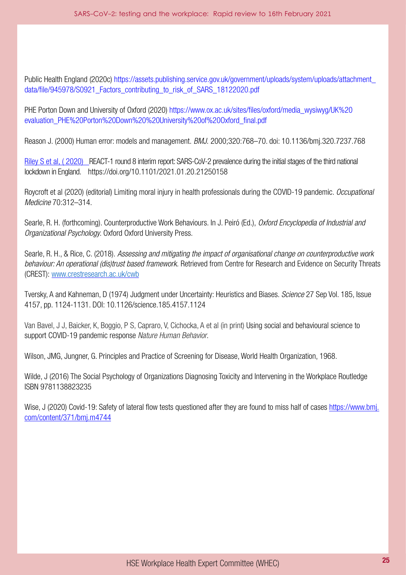Public Health England (2020c) [https://assets.publishing.service.gov.uk/government/uploads/system/uploads/attachment\\_](https://assets.publishing.service.gov.uk/government/uploads/system/uploads/attachment_data/file/945978/S0921_Factors_contributing_to_risk_of_SARS_18122020.pdf) data/file/945978/S0921 Factors\_contributing\_to\_risk\_of\_SARS\_18122020.pdf

PHE Porton Down and University of Oxford (2020) https://www.ox.ac.uk/sites/files/oxford/media\_wysiwyg/UK%20 evaluation\_PHE%20Porton%20Down%20%20University%20of%20Oxford\_final.pdf

Reason J. (2000) Human error: models and management. *BMJ*. 2000;320:768–70. doi: 10.1136/bmj.320.7237.768

 lockdown in England. https://doi.org/10.1101/2021.01.20.21250158 Riley S et al, ( 2020) REACT-1 round 8 interim report: SARS-CoV-2 prevalence during the initial stages of the third national

Roycroft et al (2020) (editorial) Limiting moral injury in health professionals during the COVID-19 pandemic. *Occupational Medicine* 70:312–314.

Searle, R. H. (forthcoming). Counterproductive Work Behaviours. In J. Peiró (Ed.), *Oxford Encyclopedia of Industrial and Organizational Psychology*. Oxford Oxford University Press.

Searle, R. H., & Rice, C. (2018). *Assessing and mitigating the impact of organisational change on counterproductive work behaviour: An operational (dis)trust based framework.* Retrieved from Centre for Research and Evidence on Security Threats (CREST): [www.crestresearch.ac.uk/cwb](https://na01.safelinks.protection.outlook.com/?url=http%3A%2F%2Fwww.crestresearch.ac.uk%2Fcwb&data=04%7C01%7C%7C6375257cf7464c4939f608d8c7662b2a%7C84df9e7fe9f640afb435aaaaaaaaaaaa%7C1%7C0%7C637478589130583353%7CUnknown%7CTWFpbGZsb3d8eyJWIjoiMC4wLjAwMDAiLCJQIjoiV2luMzIiLCJBTiI6Ik1haWwiLCJXVCI6Mn0%3D%7C1000&sdata=xECH6pEDNOQuPvSDzamNPoFdPOwcc9OVjCBrHS7Kfoo%3D&reserved=0) 

Tversky, A and Kahneman, D (1974) Judgment under Uncertainty: Heuristics and Biases. *Science* 27 Sep Vol. 185, Issue 4157, pp. 1124-1131. DOI: 10.1126/science.185.4157.1124

 Van Bavel, J J, Baicker, K, Boggio, P S, Capraro, V, Cichocka, A et al (in print) Using social and behavioural science to support COVID-19 pandemic response *Nature Human Behavior*.

Wilson, JMG, Jungner, G. Principles and Practice of Screening for Disease, World Health Organization, 1968.

Wilde, J (2016) The Social Psychology of Organizations Diagnosing Toxicity and Intervening in the Workplace Routledge ISBN 9781138823235

Wise, J (2020) Covid-19: Safety of lateral flow tests questioned after they are found to miss half of cases https://www.bmj. [com/content/371/bmj.m4744](https://www.bmj.com/content/371/bmj.m4744)